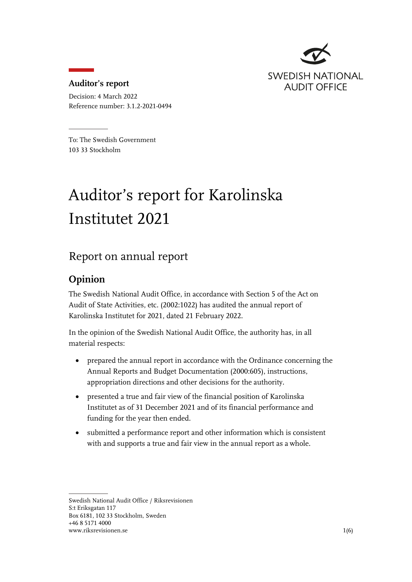

#### **Auditor's report**

Decision: 4 March 2022 Reference number: 3.1.2-2021-0494

To: The Swedish Government 103 33 Stockholm

# Auditor's report for Karolinska Institutet 2021

## Report on annual report

#### **Opinion**

The Swedish National Audit Office, in accordance with Section 5 of the Act on Audit of State Activities, etc. (2002:1022) has audited the annual report of Karolinska Institutet for 2021, dated 21 February 2022.

In the opinion of the Swedish National Audit Office, the authority has, in all material respects:

- prepared the annual report in accordance with the Ordinance concerning the Annual Reports and Budget Documentation (2000:605), instructions, appropriation directions and other decisions for the authority.
- presented a true and fair view of the financial position of Karolinska Institutet as of 31 December 2021 and of its financial performance and funding for the year then ended.
- submitted a performance report and other information which is consistent with and supports a true and fair view in the annual report as a whole.

Swedish National Audit Office / Riksrevisionen S:t Eriksgatan 117 Box 6181, 102 33 Stockholm, Sweden +46 8 5171 4000 www.riksrevisionen.se 1(6)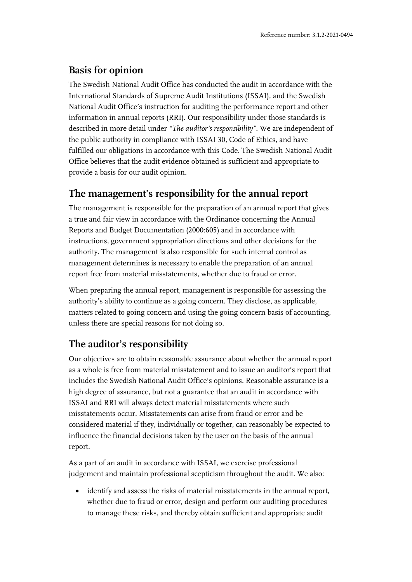#### **Basis for opinion**

The Swedish National Audit Office has conducted the audit in accordance with the International Standards of Supreme Audit Institutions (ISSAI), and the Swedish National Audit Office's instruction for auditing the performance report and other information in annual reports (RRI). Our responsibility under those standards is described in more detail under *"The auditor's responsibility"*. We are independent of the public authority in compliance with ISSAI 30, Code of Ethics, and have fulfilled our obligations in accordance with this Code. The Swedish National Audit Office believes that the audit evidence obtained is sufficient and appropriate to provide a basis for our audit opinion.

#### **The management's responsibility for the annual report**

The management is responsible for the preparation of an annual report that gives a true and fair view in accordance with the Ordinance concerning the Annual Reports and Budget Documentation (2000:605) and in accordance with instructions, government appropriation directions and other decisions for the authority. The management is also responsible for such internal control as management determines is necessary to enable the preparation of an annual report free from material misstatements, whether due to fraud or error.

When preparing the annual report, management is responsible for assessing the authority's ability to continue as a going concern. They disclose, as applicable, matters related to going concern and using the going concern basis of accounting, unless there are special reasons for not doing so.

### **The auditor's responsibility**

Our objectives are to obtain reasonable assurance about whether the annual report as a whole is free from material misstatement and to issue an auditor's report that includes the Swedish National Audit Office's opinions. Reasonable assurance is a high degree of assurance, but not a guarantee that an audit in accordance with ISSAI and RRI will always detect material misstatements where such misstatements occur. Misstatements can arise from fraud or error and be considered material if they, individually or together, can reasonably be expected to influence the financial decisions taken by the user on the basis of the annual report.

As a part of an audit in accordance with ISSAI, we exercise professional judgement and maintain professional scepticism throughout the audit. We also:

• identify and assess the risks of material misstatements in the annual report, whether due to fraud or error, design and perform our auditing procedures to manage these risks, and thereby obtain sufficient and appropriate audit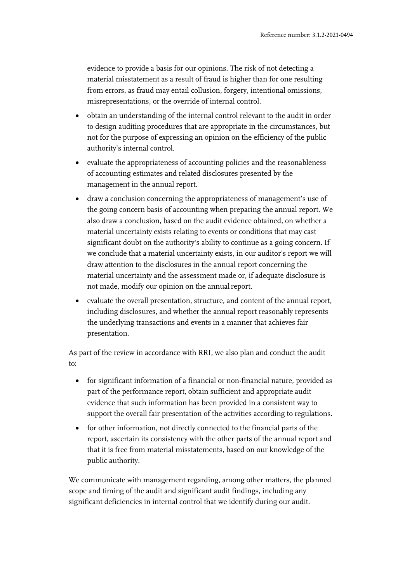evidence to provide a basis for our opinions. The risk of not detecting a material misstatement as a result of fraud is higher than for one resulting from errors, as fraud may entail collusion, forgery, intentional omissions, misrepresentations, or the override of internal control.

- obtain an understanding of the internal control relevant to the audit in order to design auditing procedures that are appropriate in the circumstances, but not for the purpose of expressing an opinion on the efficiency of the public authority's internal control.
- evaluate the appropriateness of accounting policies and the reasonableness of accounting estimates and related disclosures presented by the management in the annual report.
- draw a conclusion concerning the appropriateness of management's use of the going concern basis of accounting when preparing the annual report. We also draw a conclusion, based on the audit evidence obtained, on whether a material uncertainty exists relating to events or conditions that may cast significant doubt on the authority's ability to continue as a going concern. If we conclude that a material uncertainty exists, in our auditor's report we will draw attention to the disclosures in the annual report concerning the material uncertainty and the assessment made or, if adequate disclosure is not made, modify our opinion on the annual report.
- evaluate the overall presentation, structure, and content of the annual report, including disclosures, and whether the annual report reasonably represents the underlying transactions and events in a manner that achieves fair presentation.

As part of the review in accordance with RRI, we also plan and conduct the audit to:

- for significant information of a financial or non-financial nature, provided as part of the performance report, obtain sufficient and appropriate audit evidence that such information has been provided in a consistent way to support the overall fair presentation of the activities according to regulations.
- for other information, not directly connected to the financial parts of the report, ascertain its consistency with the other parts of the annual report and that it is free from material misstatements, based on our knowledge of the public authority.

We communicate with management regarding, among other matters, the planned scope and timing of the audit and significant audit findings, including any significant deficiencies in internal control that we identify during our audit.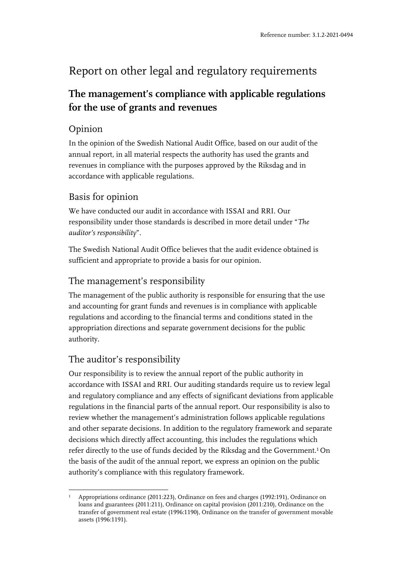# Report on other legal and regulatory requirements

## **The management's compliance with applicable regulations for the use of grants and revenues**

### Opinion

In the opinion of the Swedish National Audit Office, based on our audit of the annual report, in all material respects the authority has used the grants and revenues in compliance with the purposes approved by the Riksdag and in accordance with applicable regulations.

#### Basis for opinion

We have conducted our audit in accordance with ISSAI and RRI. Our responsibility under those standards is described in more detail under "*The auditor's responsibility*".

The Swedish National Audit Office believes that the audit evidence obtained is sufficient and appropriate to provide a basis for our opinion.

#### The management's responsibility

The management of the public authority is responsible for ensuring that the use and accounting for grant funds and revenues is in compliance with applicable regulations and according to the financial terms and conditions stated in the appropriation directions and separate government decisions for the public authority.

### The auditor's responsibility

Our responsibility is to review the annual report of the public authority in accordance with ISSAI and RRI. Our auditing standards require us to review legal and regulatory compliance and any effects of significant deviations from applicable regulations in the financial parts of the annual report. Our responsibility is also to review whether the management's administration follows applicable regulations and other separate decisions. In addition to the regulatory framework and separate decisions which directly affect accounting, this includes the regulations which refer directly to the use of funds decided by the Riksdag and the Government.<sup>1</sup> On the basis of the audit of the annual report, we express an opinion on the public authority's compliance with this regulatory framework.

<sup>1</sup> Appropriations ordinance (2011:223), Ordinance on fees and charges (1992:191), Ordinance on loans and guarantees (2011:211), Ordinance on capital provision (2011:210), Ordinance on the transfer of government real estate (1996:1190), Ordinance on the transfer of government movable assets (1996:1191).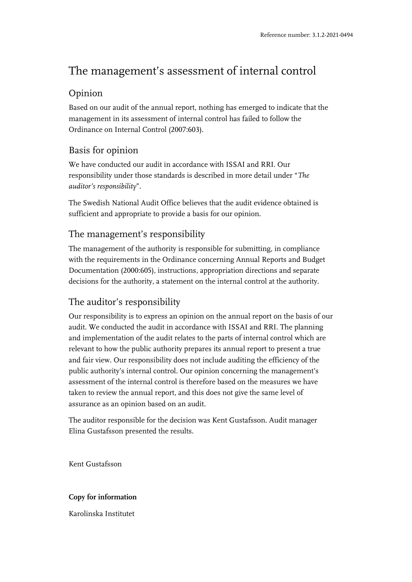## The management's assessment of internal control

#### Opinion

Based on our audit of the annual report, nothing has emerged to indicate that the management in its assessment of internal control has failed to follow the Ordinance on Internal Control (2007:603).

#### Basis for opinion

We have conducted our audit in accordance with ISSAI and RRI. Our responsibility under those standards is described in more detail under "*The auditor's responsibility*".

The Swedish National Audit Office believes that the audit evidence obtained is sufficient and appropriate to provide a basis for our opinion.

#### The management's responsibility

The management of the authority is responsible for submitting, in compliance with the requirements in the Ordinance concerning Annual Reports and Budget Documentation (2000:605), instructions, appropriation directions and separate decisions for the authority, a statement on the internal control at the authority.

#### The auditor's responsibility

Our responsibility is to express an opinion on the annual report on the basis of our audit. We conducted the audit in accordance with ISSAI and RRI. The planning and implementation of the audit relates to the parts of internal control which are relevant to how the public authority prepares its annual report to present a true and fair view. Our responsibility does not include auditing the efficiency of the public authority's internal control. Our opinion concerning the management's assessment of the internal control is therefore based on the measures we have taken to review the annual report, and this does not give the same level of assurance as an opinion based on an audit.

The auditor responsible for the decision was Kent Gustafsson. Audit manager Elina Gustafsson presented the results.

Kent Gustafsson

#### **Copy for information**

Karolinska Institutet